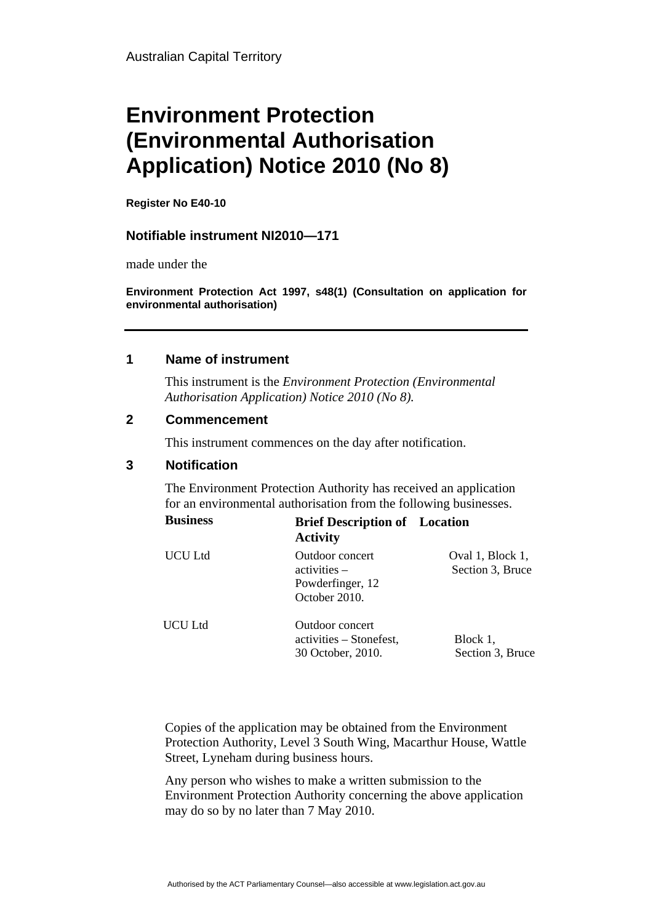# **Environment Protection (Environmental Authorisation Application) Notice 2010 (No 8)**

**Register No E40-10** 

# **Notifiable instrument NI2010—171**

made under the

**Environment Protection Act 1997, s48(1) (Consultation on application for environmental authorisation)**

### **1 Name of instrument**

This instrument is the *Environment Protection (Environmental Authorisation Application) Notice 2010 (No 8).* 

#### **2 Commencement**

This instrument commences on the day after notification.

# **3 Notification**

The Environment Protection Authority has received an application for an environmental authorisation from the following businesses.

| <b>Business</b> | <b>Brief Description of</b> Location<br><b>Activity</b>                |                                      |
|-----------------|------------------------------------------------------------------------|--------------------------------------|
| UCU Ltd         | Outdoor concert<br>$activities -$<br>Powderfinger, 12<br>October 2010. | Oval 1, Block 1,<br>Section 3, Bruce |
| UCU Ltd         | Outdoor concert<br>activities – Stonefest,<br>30 October, 2010.        | Block 1,<br>Section 3, Bruce         |

Copies of the application may be obtained from the Environment Protection Authority, Level 3 South Wing, Macarthur House, Wattle Street, Lyneham during business hours.

Any person who wishes to make a written submission to the Environment Protection Authority concerning the above application may do so by no later than 7 May 2010.